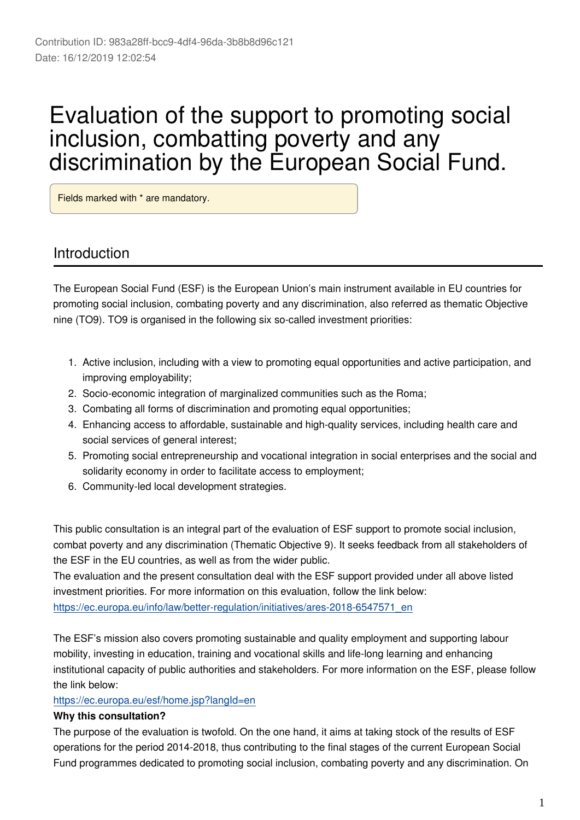# Evaluation of the support to promoting social inclusion, combatting poverty and any discrimination by the European Social Fund.

Fields marked with \* are mandatory.

## Introduction

The European Social Fund (ESF) is the European Union's main instrument available in EU countries for promoting social inclusion, combating poverty and any discrimination, also referred as thematic Objective nine (TO9). TO9 is organised in the following six so-called investment priorities:

- 1. Active inclusion, including with a view to promoting equal opportunities and active participation, and improving employability;
- 2. Socio-economic integration of marginalized communities such as the Roma;
- 3. Combating all forms of discrimination and promoting equal opportunities;
- 4. Enhancing access to affordable, sustainable and high-quality services, including health care and social services of general interest;
- 5. Promoting social entrepreneurship and vocational integration in social enterprises and the social and solidarity economy in order to facilitate access to employment;
- 6. Community-led local development strategies.

This public consultation is an integral part of the evaluation of ESF support to promote social inclusion, combat poverty and any discrimination (Thematic Objective 9). It seeks feedback from all stakeholders of the ESF in the EU countries, as well as from the wider public.

The evaluation and the present consultation deal with the ESF support provided under all above listed investment priorities. For more information on this evaluation, follow the link below: [https://ec.europa.eu/info/law/better-regulation/initiatives/ares-2018-6547571\\_en](https://ec.europa.eu/info/law/better-regulation/initiatives/ares-2018-6547571_en)

The ESF's mission also covers promoting sustainable and quality employment and supporting labour mobility, investing in education, training and vocational skills and life-long learning and enhancing institutional capacity of public authorities and stakeholders. For more information on the ESF, please follow the link below:

#### <https://ec.europa.eu/esf/home.jsp?langId=en>

#### **Why this consultation?**

The purpose of the evaluation is twofold. On the one hand, it aims at taking stock of the results of ESF operations for the period 2014-2018, thus contributing to the final stages of the current European Social Fund programmes dedicated to promoting social inclusion, combating poverty and any discrimination. On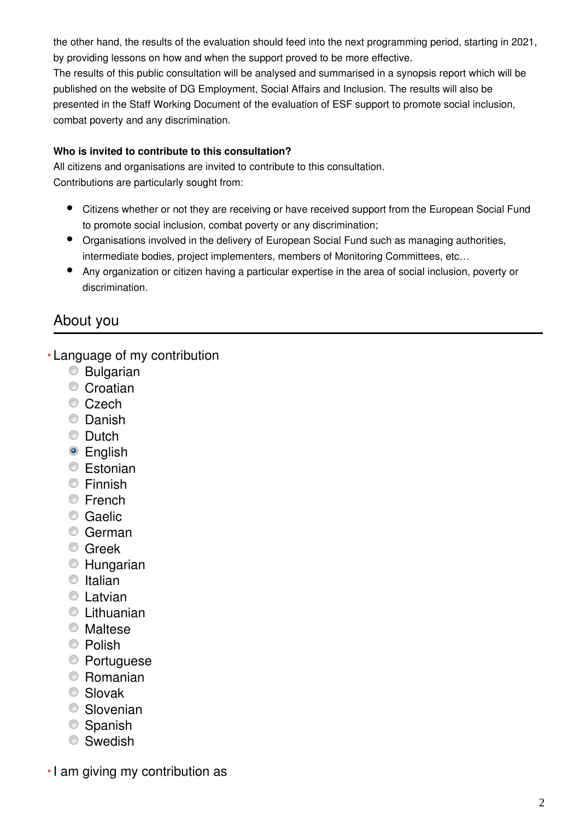the other hand, the results of the evaluation should feed into the next programming period, starting in 2021, by providing lessons on how and when the support proved to be more effective.

The results of this public consultation will be analysed and summarised in a synopsis report which will be published on the website of DG Employment, Social Affairs and Inclusion. The results will also be presented in the Staff Working Document of the evaluation of ESF support to promote social inclusion, combat poverty and any discrimination.

#### **Who is invited to contribute to this consultation?**

All citizens and organisations are invited to contribute to this consultation. Contributions are particularly sought from:

- Citizens whether or not they are receiving or have received support from the European Social Fund to promote social inclusion, combat poverty or any discrimination;
- Organisations involved in the delivery of European Social Fund such as managing authorities, intermediate bodies, project implementers, members of Monitoring Committees, etc…
- Any organization or citizen having a particular expertise in the area of social inclusion, poverty or discrimination.

## About you

Language of my contribution **\***

- Bulgarian
- **Croatian**
- Czech
- Danish
- Dutch
- English
- **Estonian**
- Finnish
- **Erench**
- Caelic
- German
- **C** Greek
- Hungarian
- $\bullet$  Italian
- **C** Latvian
- $\odot$  Lithuanian
- Maltese
- <sup>O</sup> Polish
- Portuguese
- Romanian
- Slovak
- Slovenian
- Spanish
- **Swedish**

I am giving my contribution as **\***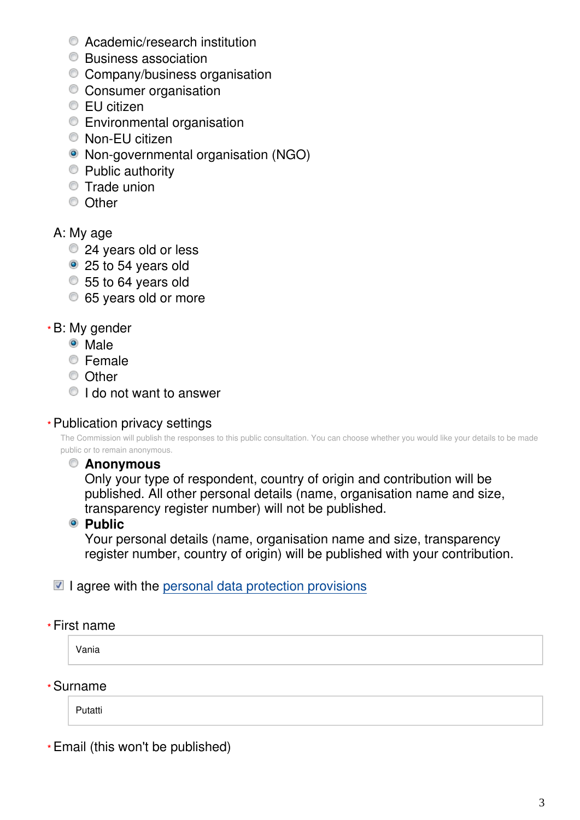- Academic/research institution
- Business association
- Company/business organisation
- **Consumer organisation**
- EU citizen
- Environmental organisation
- Non-EU citizen
- Non-governmental organisation (NGO)
- Public authority
- Trade union
- C Other

### A: My age

- 24 years old or less
- 25 to 54 years old
- 55 to 64 years old
- 65 years old or more

### B: My gender **\***

- Male
- Female
- <sup>O</sup> Other
- I do not want to answer

### Publication privacy settings **\***

The Commission will publish the responses to this public consultation. You can choose whether you would like your details to be made public or to remain anonymous.

### **Anonymous**

Only your type of respondent, country of origin and contribution will be published. All other personal details (name, organisation name and size, transparency register number) will not be published.

**Public** 

Your personal details (name, organisation name and size, transparency register number, country of origin) will be published with your contribution.

### $\blacksquare$  I agree with the [personal data protection provisions](https://ec.europa.eu/info/law/better-regulation/specific-privacy-statement_en)

#### First name **\***

Vania

Surname **\***

Putatti

Email (this won't be published) **\***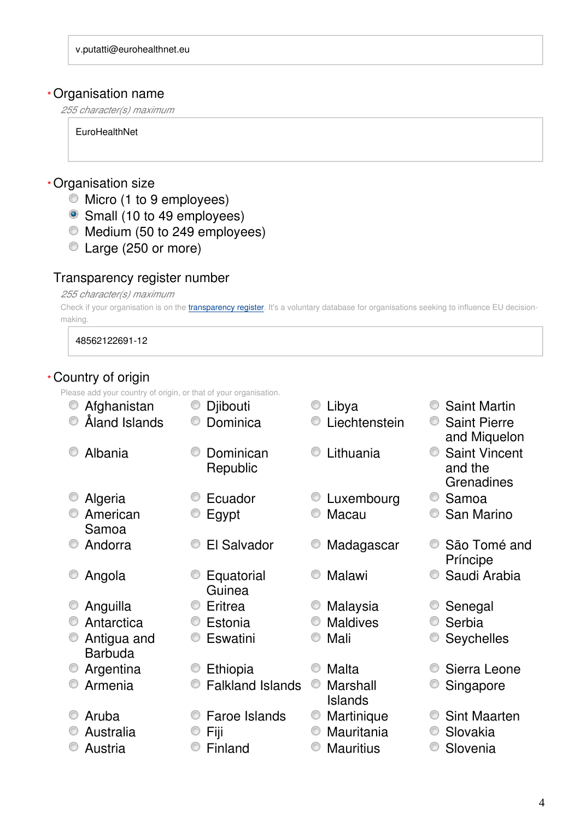#### Organisation name **\***

*255 character(s) maximum*

**EuroHealthNet** 

#### Organisation size **\***

- Micro (1 to 9 employees)
- Small (10 to 49 employees)
- Medium (50 to 249 employees)
- Large (250 or more)

#### Transparency register number

#### *255 character(s) maximum*

Check if your organisation is on the [transparency register](http://ec.europa.eu/transparencyregister/public/homePage.do?redir=false&locale=en). It's a voluntary database for organisations seeking to influence EU decisionmaking.

48562122691-12

#### Country of origin **\***

Please add your country of origin, or that of your organisation.

• Afghanistan • Djibouti • C Libya • Saint Martin Åland Islands Dominica Liechtenstein Saint Pierre and Miquelon C Albania C Dominican Republic C Lithuania C Saint Vincent and the **Grenadines** © Algeria <del>C</del>CUador CCU Ecuador CCU Extembourg CCS Samoa American Samoa C Egypt C Macau C San Marino • Andorra • C El Salvador • Madagascar • São Tomé and Príncipe • Angola **Equatorial** Guinea ● Malawi ● Saudi Arabia ■ Anguilla ● Eritrea → Malaysia → Senegal ■ Antarctica ● Estonia → ■ Maldives ● Serbia Antigua and Barbuda C Eswatini C Mali C Seychelles • Argentina • Ethiopia • Malta • Sierra Leone Armenia Falkland Islands Marshall Islands **Singapore** • Aruba Faroe Islands Martinique © Sint Maarten © Australia → © Fiii → → © Mauritania → © Slovakia Austria Finland Mauritius Slovenia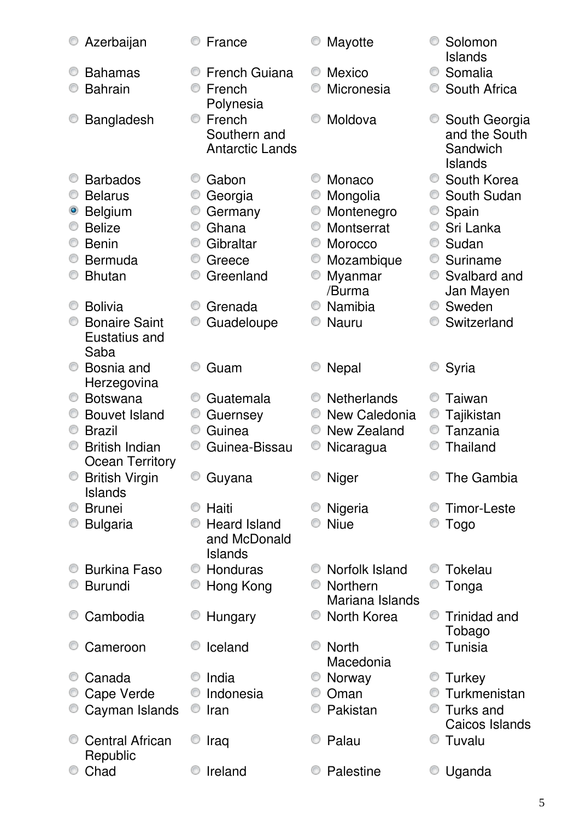| Azerbaijan                                    | France                         | Mayotte                 | Solomon<br><b>Islands</b>      |
|-----------------------------------------------|--------------------------------|-------------------------|--------------------------------|
| <b>Bahamas</b>                                | <b>French Guiana</b>           | <b>Mexico</b>           | O<br>Somalia                   |
| <b>Bahrain</b>                                | French                         | Micronesia              | South Africa                   |
|                                               | Polynesia                      |                         |                                |
| Bangladesh                                    | French<br>O<br>Southern and    | Moldova                 | South Georgia<br>and the South |
|                                               | <b>Antarctic Lands</b>         |                         | Sandwich<br><b>Islands</b>     |
| <b>Barbados</b>                               | Gabon<br>O                     | Monaco                  | South Korea<br>O               |
| <b>Belarus</b>                                | Georgia                        | Mongolia                | South Sudan                    |
| <b>Belgium</b>                                | Germany<br>O                   | Montenegro<br>O         | Spain<br>$\circledcirc$        |
| <b>Belize</b>                                 | O<br>Ghana                     | Montserrat              | Sri Lanka                      |
| <b>Benin</b>                                  | Gibraltar<br>O                 | Morocco                 | Sudan<br>O                     |
| <b>Bermuda</b>                                | O<br>Greece                    | Mozambique              | Suriname<br>O                  |
| <b>Bhutan</b>                                 | Greenland<br>O                 | Myanmar<br>O<br>/Burma  | Svalbard and<br>O              |
|                                               |                                |                         | Jan Mayen<br>Sweden<br>O       |
| <b>Bolivia</b>                                | Grenada                        | Namibia                 |                                |
| <b>Bonaire Saint</b><br>Eustatius and<br>Saba | Guadeloupe                     | <b>Nauru</b>            | Switzerland                    |
| Bosnia and                                    | Guam                           | <b>Nepal</b>            | Syria                          |
| Herzegovina                                   |                                |                         |                                |
| <b>Botswana</b>                               | Guatemala                      | <b>Netherlands</b><br>O | Taiwan                         |
| <b>Bouvet Island</b>                          | Guernsey                       | New Caledonia           | Tajikistan<br>O                |
| <b>Brazil</b>                                 | Guinea<br>0                    | New Zealand             | Tanzania<br>O                  |
| <b>British Indian</b><br>Ocean Territorv      | 0<br>Guinea-Bissau             | Nicaragua               | <b>Thailand</b>                |
| <b>British Virgin</b><br><b>Islands</b>       | O<br>Guyana                    | Niger                   | The Gambia                     |
| <b>Brunei</b>                                 | Haiti                          | Nigeria                 | <b>Timor-Leste</b>             |
| <b>Bulgaria</b>                               | <b>Heard Island</b><br>O       | <b>Niue</b>             | <b>Togo</b>                    |
|                                               | and McDonald<br><b>Islands</b> |                         |                                |
|                                               | O                              |                         |                                |
| <b>Burkina Faso</b>                           | Honduras                       | Norfolk Island          | Tokelau                        |
| <b>Burundi</b>                                | Hong Kong<br>O                 | <b>Northern</b>         | Tonga                          |
|                                               |                                | Mariana Islands         |                                |
| Cambodia                                      | Hungary                        | North Korea             | <b>Trinidad and</b><br>0       |
|                                               |                                |                         | Tobago                         |
| Cameroon                                      | Iceland                        | <b>North</b>            | Tunisia                        |
|                                               |                                | Macedonia               |                                |
| Canada                                        | India                          | Norway                  | Turkey                         |
| Cape Verde                                    | Indonesia<br>O                 | Oman                    | Turkmenistan                   |
| Cayman Islands                                | Iran<br>O                      | Pakistan                | Turks and<br>O                 |
|                                               |                                |                         | Caicos Islands                 |
| <b>Central African</b>                        | Iraq                           | Palau                   | Tuvalu<br>O                    |
| Republic                                      |                                |                         |                                |
| Chad                                          | Ireland                        | Palestine               | Uganda                         |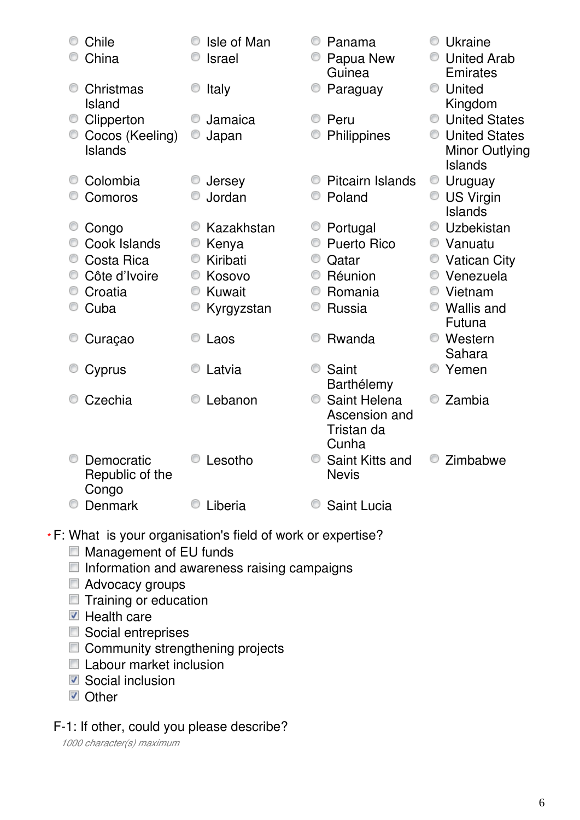| Chile<br>China                                                          | Isle of Man<br><b>Israel</b>                                                | ⊙<br>Panama<br>Papua New                                                                    | Ukraine<br><b>United Arab</b>                                                                         |
|-------------------------------------------------------------------------|-----------------------------------------------------------------------------|---------------------------------------------------------------------------------------------|-------------------------------------------------------------------------------------------------------|
| Christmas<br>Island                                                     | Italy                                                                       | Guinea<br>Paraguay                                                                          | Emirates<br><b>United</b><br>Kingdom                                                                  |
| Clipperton<br>Cocos (Keeling)<br>Islands                                | Jamaica<br>Japan                                                            | Peru<br>⊙<br>Philippines                                                                    | <b>United States</b><br><b>United States</b><br><b>Minor Outlying</b><br>Islands                      |
| Colombia<br>Comoros                                                     | Jersey<br>Jordan                                                            | <b>Pitcairn Islands</b><br>⊙<br>Poland                                                      | $\circledcirc$<br>Uruguay<br><b>US Virgin</b><br>$\circledcirc$<br><b>Islands</b>                     |
| Congo<br>Cook Islands<br>Costa Rica<br>Côte d'Ivoire<br>Croatia<br>Cuba | Kazakhstan<br>Kenya<br>Kiribati<br>0<br>Kosovo<br>Kuwait<br>O<br>Kyrgyzstan | Portugal<br>O<br><b>Puerto Rico</b><br>Qatar<br>⊙<br>Réunion<br>O<br>Romania<br>⊙<br>Russia | Uzbekistan<br>● Vanuatu<br>• Vatican City<br>Venezuela<br>O<br>Vietnam<br><b>Wallis and</b><br>Futuna |
| Curaçao                                                                 | Laos                                                                        | Rwanda<br>0                                                                                 | <b>Western</b><br>Sahara                                                                              |
| Cyprus                                                                  | Latvia                                                                      | Saint<br>⊙<br>Barthélemy                                                                    | Yemen                                                                                                 |
| Czechia                                                                 | Lebanon                                                                     | Saint Helena<br>⊙<br>Ascension and<br>Tristan da<br>Cunha                                   | Zambia                                                                                                |
| Democratic<br>Republic of the<br>Congo                                  | Lesotho                                                                     | Saint Kitts and<br><b>Nevis</b>                                                             | Zimbabwe                                                                                              |
| <b>Denmark</b>                                                          | Liberia                                                                     | <b>Saint Lucia</b>                                                                          |                                                                                                       |

#### F: What is your organisation's field of work or expertise? **\***

- **Management of EU funds**
- $\blacksquare$  Information and awareness raising campaigns
- Advocacy groups
- $\blacksquare$  Training or education
- Health care
- Social entreprises
- Community strengthening projects
- Labour market inclusion
- Social inclusion
- **D** Other

## F-1: If other, could you please describe?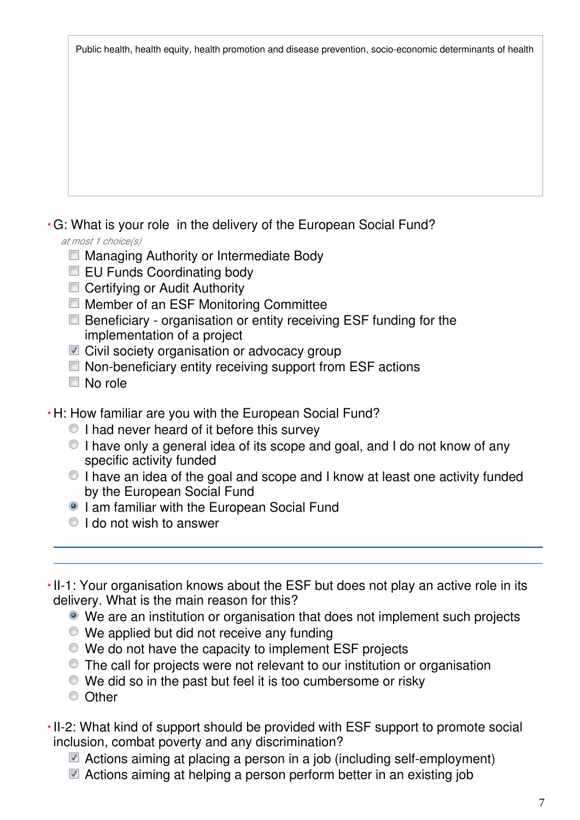Public health, health equity, health promotion and disease prevention, socio-economic determinants of health

## G: What is your role in the delivery of the European Social Fund? **\***

*at most 1 choice(s)*

- **Managing Authority or Intermediate Body**
- **EU Funds Coordinating body**
- **Certifying or Audit Authority**
- **Member of an ESF Monitoring Committee**
- Beneficiary organisation or entity receiving ESF funding for the implementation of a project
- Civil society organisation or advocacy group
- Non-beneficiary entity receiving support from ESF actions
- No role
- H: How familiar are you with the European Social Fund? **\***
	- I had never heard of it before this survey
	- I have only a general idea of its scope and goal, and I do not know of any specific activity funded
	- I have an idea of the goal and scope and I know at least one activity funded by the European Social Fund
	- **I am familiar with the European Social Fund**
	- $\bullet$  I do not wish to answer
- \*II-1: Your organisation knows about the ESF but does not play an active role in its delivery. What is the main reason for this?
	- We are an institution or organisation that does not implement such projects
	- We applied but did not receive any funding
	- We do not have the capacity to implement ESF projects
	- The call for projects were not relevant to our institution or organisation
	- We did so in the past but feel it is too cumbersome or risky
	- C Other
- \* II-2: What kind of support should be provided with ESF support to promote social inclusion, combat poverty and any discrimination?
	- Actions aiming at placing a person in a job (including self-employment)
	- Actions aiming at helping a person perform better in an existing job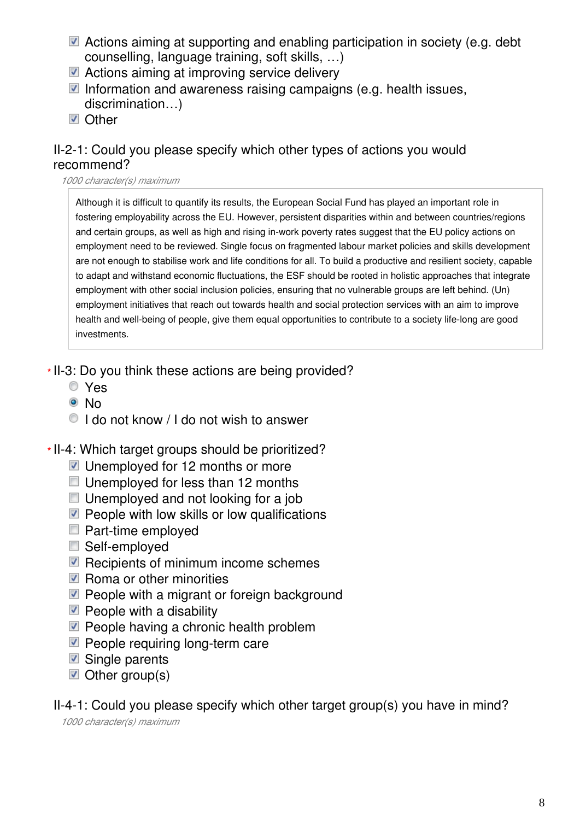- Actions aiming at supporting and enabling participation in society (e.g. debt counselling, language training, soft skills, …)
- Actions aiming at improving service delivery
- Information and awareness raising campaigns (e.g. health issues, discrimination…)
- **☑** Other

## II-2-1: Could you please specify which other types of actions you would recommend?

#### *1000 character(s) maximum*

Although it is difficult to quantify its results, the European Social Fund has played an important role in fostering employability across the EU. However, persistent disparities within and between countries/regions and certain groups, as well as high and rising in-work poverty rates suggest that the EU policy actions on employment need to be reviewed. Single focus on fragmented labour market policies and skills development are not enough to stabilise work and life conditions for all. To build a productive and resilient society, capable to adapt and withstand economic fluctuations, the ESF should be rooted in holistic approaches that integrate employment with other social inclusion policies, ensuring that no vulnerable groups are left behind. (Un) employment initiatives that reach out towards health and social protection services with an aim to improve health and well-being of people, give them equal opportunities to contribute to a society life-long are good investments.

- \*II-3: Do you think these actions are being provided?
	- Yes
	- <sup>⊚</sup>No
	- $\bullet$  I do not know / I do not wish to answer
- II-4: Which target groups should be prioritized? **\***
	- Unemployed for 12 months or more
	- Unemployed for less than 12 months
	- $\Box$  Unemployed and not looking for a job
	- $\blacksquare$  People with low skills or low qualifications
	- Part-time employed
	- Self-employed
	- $\blacksquare$  Recipients of minimum income schemes
	- $\nabla$  Roma or other minorities
	- $\blacksquare$  People with a migrant or foreign background
	- $\blacksquare$  People with a disability
	- $\blacksquare$  People having a chronic health problem
	- $\nabla$  People requiring long-term care
	- Single parents
	- $\blacksquare$  Other group(s)

II-4-1: Could you please specify which other target group(s) you have in mind?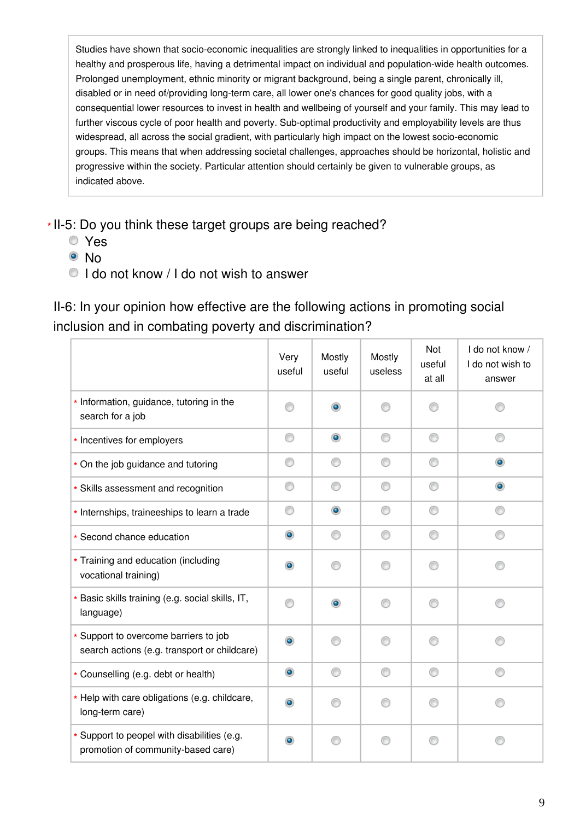Studies have shown that socio-economic inequalities are strongly linked to inequalities in opportunities for a healthy and prosperous life, having a detrimental impact on individual and population-wide health outcomes. Prolonged unemployment, ethnic minority or migrant background, being a single parent, chronically ill, disabled or in need of/providing long-term care, all lower one's chances for good quality jobs, with a consequential lower resources to invest in health and wellbeing of yourself and your family. This may lead to further viscous cycle of poor health and poverty. Sub-optimal productivity and employability levels are thus widespread, all across the social gradient, with particularly high impact on the lowest socio-economic groups. This means that when addressing societal challenges, approaches should be horizontal, holistic and progressive within the society. Particular attention should certainly be given to vulnerable groups, as indicated above.

\*II-5: Do you think these target groups are being reached?

- Yes
- <sup>⊙</sup>No
- I do not know / I do not wish to answer

II-6: In your opinion how effective are the following actions in promoting social inclusion and in combating poverty and discrimination?

|                                                                                       | Very<br>useful | Mostly<br>useful | Mostly<br>useless | Not<br>useful<br>at all | I do not know /<br>I do not wish to<br>answer |
|---------------------------------------------------------------------------------------|----------------|------------------|-------------------|-------------------------|-----------------------------------------------|
| * Information, guidance, tutoring in the<br>search for a job                          | ⋒              | ۰                |                   |                         |                                               |
| * Incentives for employers                                                            | ⊙              | $\bullet$        | ⊙                 | ⊙                       | ∩                                             |
| * On the job guidance and tutoring                                                    | ⊙              | ⊙                | ∩                 | ⊙                       | $\bullet$                                     |
| * Skills assessment and recognition                                                   | ⊙              | ⊙                | ∩                 | ⊙                       | $\circledcirc$                                |
| * Internships, traineeships to learn a trade                                          | ⊙              | $\bullet$        | ⊙                 | 0                       | ⊙                                             |
| * Second chance education                                                             | $\bullet$      | ⊙                | ⊙                 | ⊙                       | ⊙                                             |
| * Training and education (including<br>vocational training)                           | ۰              |                  |                   |                         |                                               |
| * Basic skills training (e.g. social skills, IT,<br>language)                         | ⋒              | $\bullet$        | ⋒                 | ∩                       |                                               |
| * Support to overcome barriers to job<br>search actions (e.g. transport or childcare) | ۰              | ∩                | ∩                 | ⊙                       |                                               |
| * Counselling (e.g. debt or health)                                                   | $\circledcirc$ | ⊙                | ∩                 | ⊙                       | ∩                                             |
| * Help with care obligations (e.g. childcare,<br>long-term care)                      | ۰              |                  | ⋒                 | ∩                       |                                               |
| * Support to peopel with disabilities (e.g.<br>promotion of community-based care)     |                | ∩                |                   | ∩                       |                                               |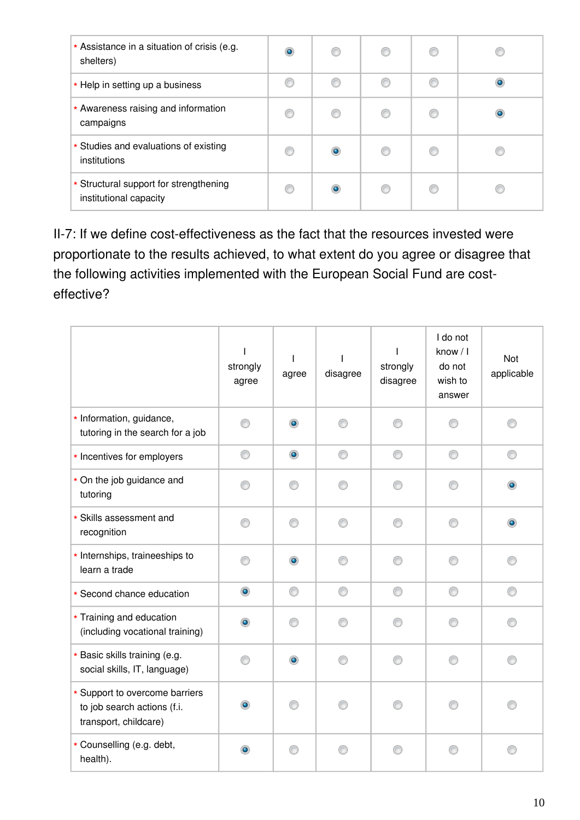| * Assistance in a situation of crisis (e.g.<br>shelters)         | $\bullet$ |           |  |  |
|------------------------------------------------------------------|-----------|-----------|--|--|
| * Help in setting up a business                                  |           |           |  |  |
| * Awareness raising and information<br>campaigns                 | C         |           |  |  |
| * Studies and evaluations of existing<br>institutions            | C         | ۰         |  |  |
| * Structural support for strengthening<br>institutional capacity | c         | $\bullet$ |  |  |

II-7: If we define cost-effectiveness as the fact that the resources invested were proportionate to the results achieved, to what extent do you agree or disagree that the following activities implemented with the European Social Fund are costeffective?

|                                                                                        | strongly<br>agree | agree     | disagree | strongly<br>disagree | I do not<br>know / I<br>do not<br>wish to<br>answer | Not<br>applicable |
|----------------------------------------------------------------------------------------|-------------------|-----------|----------|----------------------|-----------------------------------------------------|-------------------|
| * Information, guidance,<br>tutoring in the search for a job                           | ∩                 | $\bullet$ | ⋒        | ⋒                    |                                                     | ∩                 |
| * Incentives for employers                                                             | ⊙                 | $\bullet$ | ⊙        | ⊙                    | ⊙                                                   | ⊙                 |
| * On the job guidance and<br>tutoring                                                  | ∩                 | ∩         |          | M                    | O                                                   |                   |
| * Skills assessment and<br>recognition                                                 | ∩                 | ⊙         | ∩        | ∩                    | ⋒                                                   | $\circledcirc$    |
| * Internships, traineeships to<br>learn a trade                                        | ⋒                 | $\bullet$ | ∩        | ⋒                    | ⋒                                                   | ∩                 |
| * Second chance education                                                              | $\bullet$         | ⊙         | ⊙        | ⊙                    | ⊙                                                   | ⊙                 |
| * Training and education<br>(including vocational training)                            | $\bullet$         | 0         |          | 60                   | ⋒                                                   |                   |
| * Basic skills training (e.g.<br>social skills, IT, language)                          | ⋒                 | $\bullet$ |          | ∩                    | ⋒                                                   | ⋒                 |
| * Support to overcome barriers<br>to job search actions (f.i.<br>transport, childcare) | $\bullet$         |           |          |                      |                                                     |                   |
| * Counselling (e.g. debt,<br>health).                                                  | $\bullet$         | ∩         |          | ⋒                    |                                                     |                   |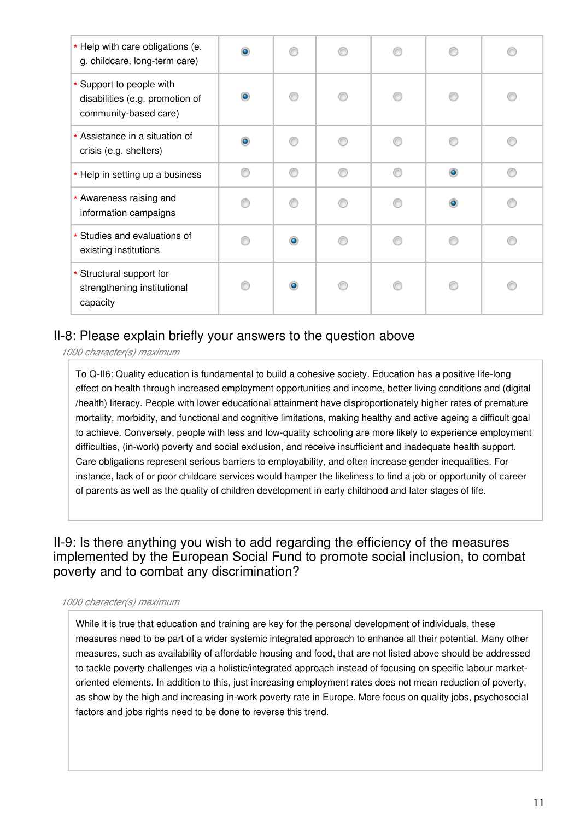| * Help with care obligations (e.<br>g. childcare, long-term care)                    | $\bullet$ |           |   |   |                |   |
|--------------------------------------------------------------------------------------|-----------|-----------|---|---|----------------|---|
| * Support to people with<br>disabilities (e.g. promotion of<br>community-based care) | $\bullet$ |           |   |   |                |   |
| * Assistance in a situation of<br>crisis (e.g. shelters)                             | $\bullet$ |           |   |   |                |   |
| * Help in setting up a business                                                      | ⋒         | ⋒         | ⋒ | ⋒ | $\bullet$      | ⋒ |
| * Awareness raising and<br>information campaigns                                     |           |           |   |   | $\circledcirc$ |   |
| * Studies and evaluations of<br>existing institutions                                |           | ۵         |   |   | ⋒              |   |
| * Structural support for<br>strengthening institutional<br>capacity                  |           | $\bullet$ |   |   | ⋒              |   |

## II-8: Please explain briefly your answers to the question above

*1000 character(s) maximum*

To Q-II6: Quality education is fundamental to build a cohesive society. Education has a positive life-long effect on health through increased employment opportunities and income, better living conditions and (digital /health) literacy. People with lower educational attainment have disproportionately higher rates of premature mortality, morbidity, and functional and cognitive limitations, making healthy and active ageing a difficult goal to achieve. Conversely, people with less and low-quality schooling are more likely to experience employment difficulties, (in-work) poverty and social exclusion, and receive insufficient and inadequate health support. Care obligations represent serious barriers to employability, and often increase gender inequalities. For instance, lack of or poor childcare services would hamper the likeliness to find a job or opportunity of career of parents as well as the quality of children development in early childhood and later stages of life.

## II-9: Is there anything you wish to add regarding the efficiency of the measures implemented by the European Social Fund to promote social inclusion, to combat poverty and to combat any discrimination?

#### *1000 character(s) maximum*

While it is true that education and training are key for the personal development of individuals, these measures need to be part of a wider systemic integrated approach to enhance all their potential. Many other measures, such as availability of affordable housing and food, that are not listed above should be addressed to tackle poverty challenges via a holistic/integrated approach instead of focusing on specific labour marketoriented elements. In addition to this, just increasing employment rates does not mean reduction of poverty, as show by the high and increasing in-work poverty rate in Europe. More focus on quality jobs, psychosocial factors and jobs rights need to be done to reverse this trend.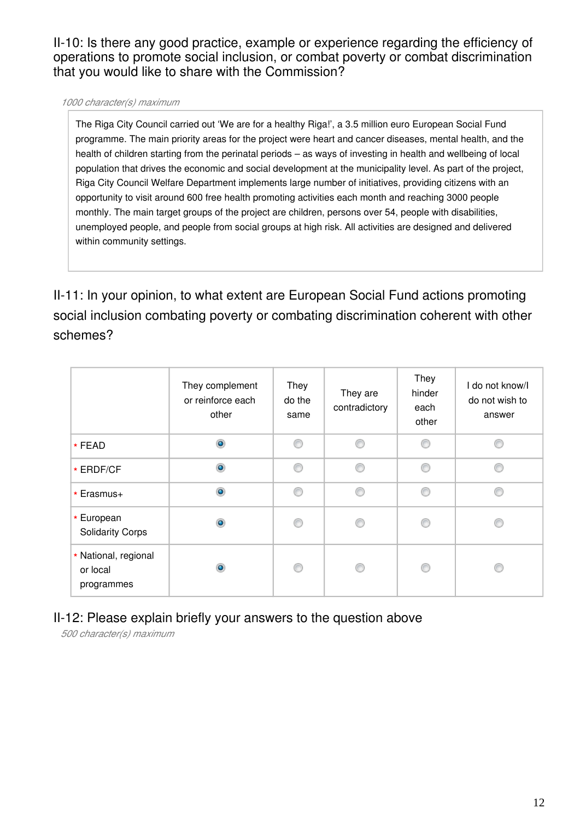II-10: Is there any good practice, example or experience regarding the efficiency of operations to promote social inclusion, or combat poverty or combat discrimination that you would like to share with the Commission?

#### *1000 character(s) maximum*

The Riga City Council carried out 'We are for a healthy Riga!', a 3.5 million euro European Social Fund programme. The main priority areas for the project were heart and cancer diseases, mental health, and the health of children starting from the perinatal periods – as ways of investing in health and wellbeing of local population that drives the economic and social development at the municipality level. As part of the project, Riga City Council Welfare Department implements large number of initiatives, providing citizens with an opportunity to visit around 600 free health promoting activities each month and reaching 3000 people monthly. The main target groups of the project are children, persons over 54, people with disabilities, unemployed people, and people from social groups at high risk. All activities are designed and delivered within community settings.

II-11: In your opinion, to what extent are European Social Fund actions promoting social inclusion combating poverty or combating discrimination coherent with other schemes?

|                                                | They complement<br>or reinforce each<br>other | They<br>do the<br>same | They are<br>contradictory | They<br>hinder<br>each<br>other | I do not know/I<br>do not wish to<br>answer |
|------------------------------------------------|-----------------------------------------------|------------------------|---------------------------|---------------------------------|---------------------------------------------|
| * FEAD                                         | $\bullet$                                     | ∩                      | ⋒                         | ⋒                               | ⋒                                           |
| * ERDF/CF                                      | $\bullet$                                     | ⊙                      | ⋒                         | ⊙                               | ⋒                                           |
| * Erasmus+                                     | $\bullet$                                     | ⊙                      | ∩                         | ⊙                               | ⋒                                           |
| * European<br><b>Solidarity Corps</b>          | ۵                                             | ⋒                      | ⋒                         | €                               |                                             |
| * National, regional<br>or local<br>programmes | ۰                                             | ∩                      | A                         | ⋒                               |                                             |

## II-12: Please explain briefly your answers to the question above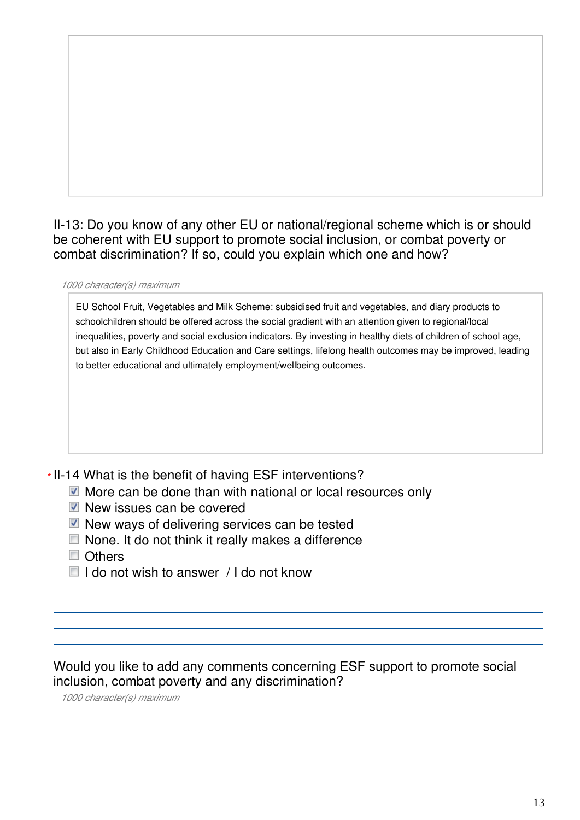## II-13: Do you know of any other EU or national/regional scheme which is or should be coherent with EU support to promote social inclusion, or combat poverty or combat discrimination? If so, could you explain which one and how?

#### *1000 character(s) maximum*

EU School Fruit, Vegetables and Milk Scheme: subsidised fruit and vegetables, and diary products to schoolchildren should be offered across the social gradient with an attention given to regional/local inequalities, poverty and social exclusion indicators. By investing in healthy diets of children of school age, but also in Early Childhood Education and Care settings, lifelong health outcomes may be improved, leading to better educational and ultimately employment/wellbeing outcomes.

### II-14 What is the benefit of having ESF interventions? **\***

- More can be done than with national or local resources only
- $\blacksquare$  New issues can be covered
- $\blacksquare$  New ways of delivering services can be tested
- $\Box$  None. It do not think it really makes a difference
- Others
- $\Box$  I do not wish to answer / I do not know

Would you like to add any comments concerning ESF support to promote social inclusion, combat poverty and any discrimination?